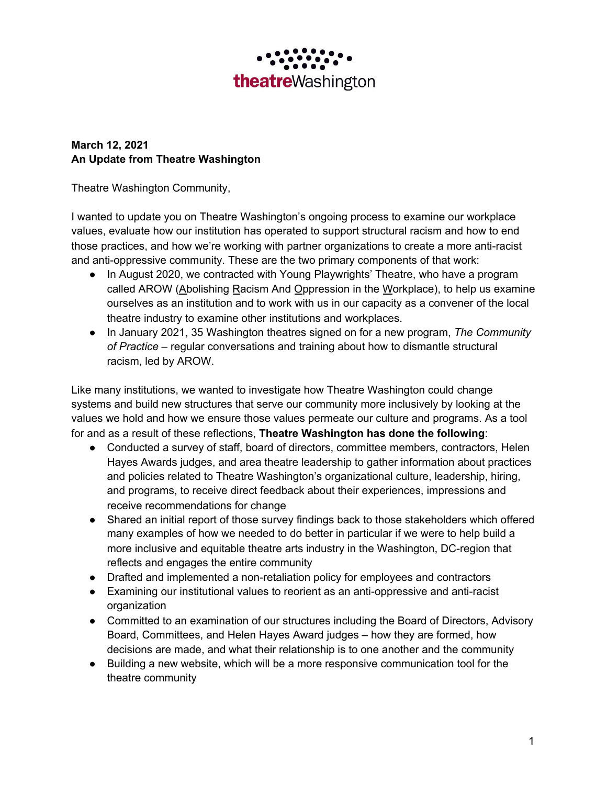

## **March 12, 2021 An Update from Theatre Washington**

Theatre Washington Community,

I wanted to update you on Theatre Washington's ongoing process to examine our workplace values, evaluate how our institution has operated to support structural racism and how to end those practices, and how we're working with partner organizations to create a more anti-racist and anti-oppressive community. These are the two primary components of that work:

- In August 2020, we contracted with Young Playwrights' Theatre, who have a program called AROW (Abolishing Racism And Oppression in the Workplace), to help us examine ourselves as an institution and to work with us in our capacity as a convener of the local theatre industry to examine other institutions and workplaces.
- In January 2021, 35 Washington theatres signed on for a new program, *The Community of Practice* – regular conversations and training about how to dismantle structural racism, led by AROW.

Like many institutions, we wanted to investigate how Theatre Washington could change systems and build new structures that serve our community more inclusively by looking at the values we hold and how we ensure those values permeate our culture and programs. As a tool for and as a result of these reflections, **Theatre Washington has done the following**:

- Conducted a survey of staff, board of directors, committee members, contractors, Helen Hayes Awards judges, and area theatre leadership to gather information about practices and policies related to Theatre Washington's organizational culture, leadership, hiring, and programs, to receive direct feedback about their experiences, impressions and receive recommendations for change
- Shared an initial report of those survey findings back to those stakeholders which offered many examples of how we needed to do better in particular if we were to help build a more inclusive and equitable theatre arts industry in the Washington, DC-region that reflects and engages the entire community
- Drafted and implemented a non-retaliation policy for employees and contractors
- Examining our institutional values to reorient as an anti-oppressive and anti-racist organization
- Committed to an examination of our structures including the Board of Directors, Advisory Board, Committees, and Helen Hayes Award judges – how they are formed, how decisions are made, and what their relationship is to one another and the community
- Building a new website, which will be a more responsive communication tool for the theatre community